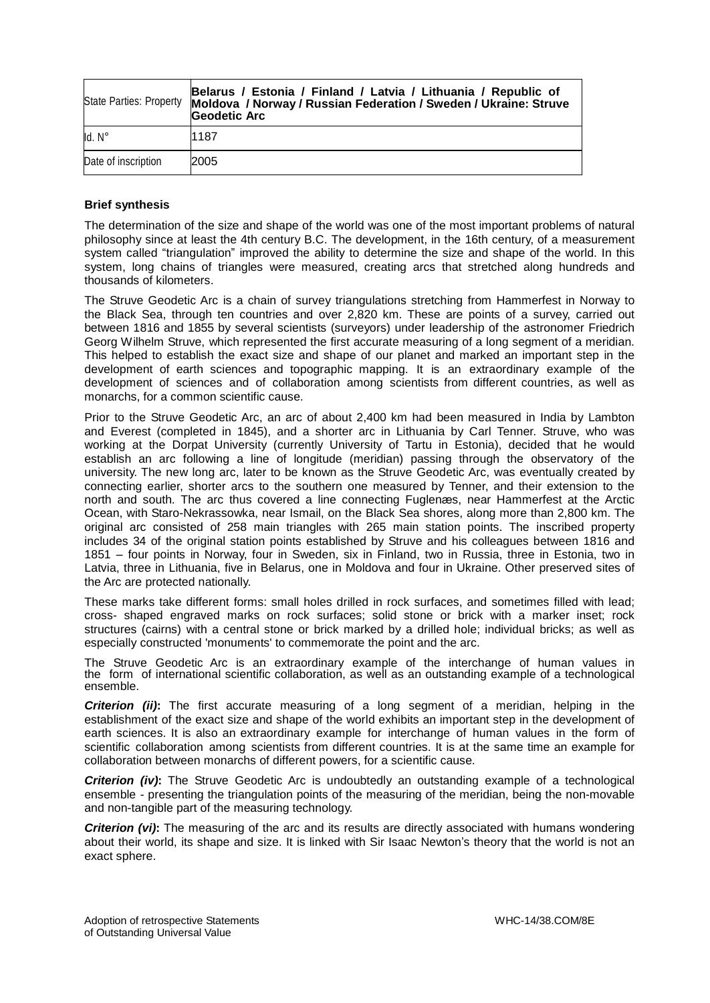|                     | Belarus / Estonia / Finland / Latvia / Lithuania / Republic of<br>State Parties: Property Moldova / Norway / Russian Federation / Sweden / Ukraine: Struve<br>Geodetic Arc |
|---------------------|----------------------------------------------------------------------------------------------------------------------------------------------------------------------------|
| $Id. N^\circ$       | 1187                                                                                                                                                                       |
| Date of inscription | 2005                                                                                                                                                                       |

## **Brief synthesis**

The determination of the size and shape of the world was one of the most important problems of natural philosophy since at least the 4th century B.C. The development, in the 16th century, of a measurement system called "triangulation" improved the ability to determine the size and shape of the world. In this system, long chains of triangles were measured, creating arcs that stretched along hundreds and thousands of kilometers.

The Struve Geodetic Arc is a chain of survey triangulations stretching from Hammerfest in Norway to the Black Sea, through ten countries and over 2,820 km. These are points of a survey, carried out between 1816 and 1855 by several scientists (surveyors) under leadership of the astronomer Friedrich Georg Wilhelm Struve, which represented the first accurate measuring of a long segment of a meridian. This helped to establish the exact size and shape of our planet and marked an important step in the development of earth sciences and topographic mapping. It is an extraordinary example of the development of sciences and of collaboration among scientists from different countries, as well as monarchs, for a common scientific cause.

Prior to the Struve Geodetic Arc, an arc of about 2,400 km had been measured in India by Lambton and Everest (completed in 1845), and a shorter arc in Lithuania by Carl Tenner. Struve, who was working at the Dorpat University (currently University of Tartu in Estonia), decided that he would establish an arc following a line of longitude (meridian) passing through the observatory of the university. The new long arc, later to be known as the Struve Geodetic Arc, was eventually created by connecting earlier, shorter arcs to the southern one measured by Tenner, and their extension to the north and south. The arc thus covered a line connecting Fuglenæs, near Hammerfest at the Arctic Ocean, with Staro-Nekrassowka, near Ismail, on the Black Sea shores, along more than 2,800 km. The original arc consisted of 258 main triangles with 265 main station points. The inscribed property includes 34 of the original station points established by Struve and his colleagues between 1816 and 1851 – four points in Norway, four in Sweden, six in Finland, two in Russia, three in Estonia, two in Latvia, three in Lithuania, five in Belarus, one in Moldova and four in Ukraine. Other preserved sites of the Arc are protected nationally.

These marks take different forms: small holes drilled in rock surfaces, and sometimes filled with lead; cross- shaped engraved marks on rock surfaces; solid stone or brick with a marker inset; rock structures (cairns) with a central stone or brick marked by a drilled hole; individual bricks; as well as especially constructed 'monuments' to commemorate the point and the arc.

The Struve Geodetic Arc is an extraordinary example of the interchange of human values in the form of international scientific collaboration, as well as an outstanding example of a technological ensemble.

*Criterion (ii)***:** The first accurate measuring of a long segment of a meridian, helping in the establishment of the exact size and shape of the world exhibits an important step in the development of earth sciences. It is also an extraordinary example for interchange of human values in the form of scientific collaboration among scientists from different countries. It is at the same time an example for collaboration between monarchs of different powers, for a scientific cause.

*Criterion (iv)***:** The Struve Geodetic Arc is undoubtedly an outstanding example of a technological ensemble - presenting the triangulation points of the measuring of the meridian, being the non-movable and non-tangible part of the measuring technology.

**Criterion (vi):** The measuring of the arc and its results are directly associated with humans wondering about their world, its shape and size. It is linked with Sir Isaac Newton's theory that the world is not an exact sphere.